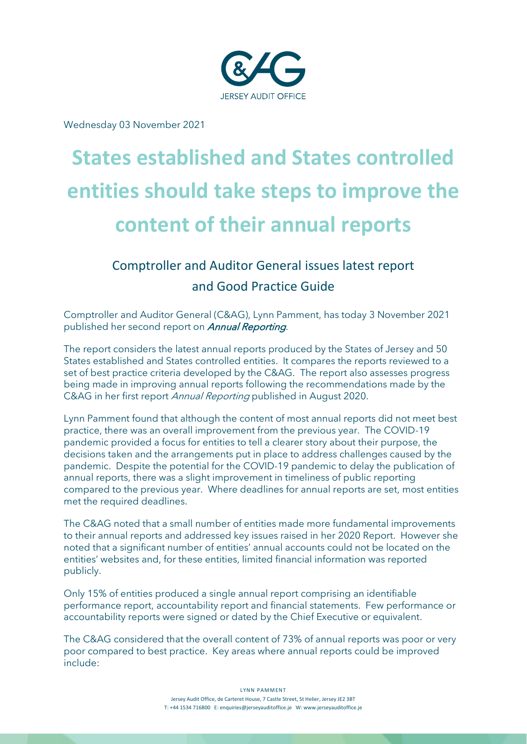

Wednesday 03 November 2021

# **States established and States controlled entities should take steps to improve the content of their annual reports**

# Comptroller and Auditor General issues latest report and Good Practice Guide

Comptroller and Auditor General (C&AG), Lynn Pamment, has today 3 November 2021 published her second report on *Annual Reporting*.

The report considers the latest annual reports produced by the States of Jersey and 50 States established and States controlled entities. It compares the reports reviewed to a set of best practice criteria developed by the C&AG. The report also assesses progress being made in improving annual reports following the recommendations made by the C&AG in her first report Annual Reporting published in August 2020.

Lynn Pamment found that although the content of most annual reports did not meet best practice, there was an overall improvement from the previous year. The COVID-19 pandemic provided a focus for entities to tell a clearer story about their purpose, the decisions taken and the arrangements put in place to address challenges caused by the pandemic. Despite the potential for the COVID-19 pandemic to delay the publication of annual reports, there was a slight improvement in timeliness of public reporting compared to the previous year. Where deadlines for annual reports are set, most entities met the required deadlines.

The C&AG noted that a small number of entities made more fundamental improvements to their annual reports and addressed key issues raised in her 2020 Report. However she noted that a significant number of entities' annual accounts could not be located on the entities' websites and, for these entities, limited financial information was reported publicly.

Only 15% of entities produced a single annual report comprising an identifiable performance report, accountability report and financial statements. Few performance or accountability reports were signed or dated by the Chief Executive or equivalent.

The C&AG considered that the overall content of 73% of annual reports was poor or very poor compared to best practice. Key areas where annual reports could be improved include:

> LYNN PAMMENT Jersey Audit Office, de Carteret House, 7 Castle Street, St Helier, Jersey JE2 3BT T: +44 1534 716800 E: enquiries@jerseyauditoffice.je W: www.jerseyauditoffice.je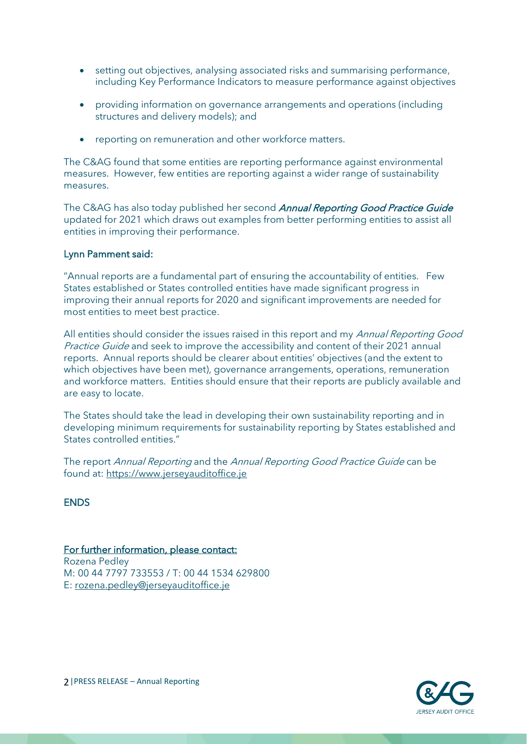- setting out objectives, analysing associated risks and summarising performance, including Key Performance Indicators to measure performance against objectives
- providing information on governance arrangements and operations (including structures and delivery models); and
- reporting on remuneration and other workforce matters.

The C&AG found that some entities are reporting performance against environmental measures. However, few entities are reporting against a wider range of sustainability measures.

The C&AG has also today published her second Annual Reporting Good Practice Guide updated for 2021 which draws out examples from better performing entities to assist all entities in improving their performance.

#### Lynn Pamment said:

"Annual reports are a fundamental part of ensuring the accountability of entities. Few States established or States controlled entities have made significant progress in improving their annual reports for 2020 and significant improvements are needed for most entities to meet best practice.

All entities should consider the issues raised in this report and my Annual Reporting Good Practice Guide and seek to improve the accessibility and content of their 2021 annual reports. Annual reports should be clearer about entities' objectives (and the extent to which objectives have been met), governance arrangements, operations, remuneration and workforce matters. Entities should ensure that their reports are publicly available and are easy to locate.

The States should take the lead in developing their own sustainability reporting and in developing minimum requirements for sustainability reporting by States established and States controlled entities."

The report Annual Reporting and the Annual Reporting Good Practice Guide can be found at: [https://www.jerseyauditoffice.je](https://www.jerseyauditoffice.je/) 

**ENDS** 

#### For further information, please contact:

Rozena Pedley M: 00 44 7797 733553 / T: 00 44 1534 629800 E: [rozena.pedley@jerseyauditoffice.je](mailto:rozena.pedley@jerseyauditoffice.je)